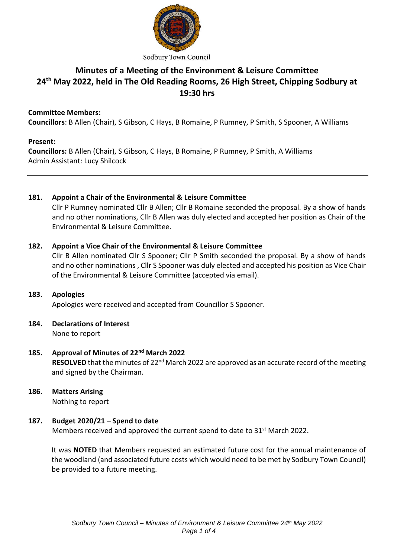

# **Minutes of a Meeting of the Environment & Leisure Committee 24 th May 2022, held in The Old Reading Rooms, 26 High Street, Chipping Sodbury at 19:30 hrs**

## **Committee Members:**

**Councillors**: B Allen (Chair), S Gibson, C Hays, B Romaine, P Rumney, P Smith, S Spooner, A Williams

#### **Present:**

**Councillors:** B Allen (Chair), S Gibson, C Hays, B Romaine, P Rumney, P Smith, A Williams Admin Assistant: Lucy Shilcock

## **181. Appoint a Chair of the Environmental & Leisure Committee**

Cllr P Rumney nominated Cllr B Allen; Cllr B Romaine seconded the proposal. By a show of hands and no other nominations, Cllr B Allen was duly elected and accepted her position as Chair of the Environmental & Leisure Committee.

## **182. Appoint a Vice Chair of the Environmental & Leisure Committee**

Cllr B Allen nominated Cllr S Spooner; Cllr P Smith seconded the proposal. By a show of hands and no other nominations , Cllr S Spooner was duly elected and accepted his position as Vice Chair of the Environmental & Leisure Committee (accepted via email).

## **183. Apologies**

Apologies were received and accepted from Councillor S Spooner.

#### **184. Declarations of Interest**  None to report

- **185. Approval of Minutes of 22nd March 2022**  RESOLVED that the minutes of 22<sup>nd</sup> March 2022 are approved as an accurate record of the meeting and signed by the Chairman.
- **186. Matters Arising** Nothing to report

## **187. Budget 2020/21 – Spend to date**

Members received and approved the current spend to date to 31<sup>st</sup> March 2022.

It was **NOTED** that Members requested an estimated future cost for the annual maintenance of the woodland (and associated future costs which would need to be met by Sodbury Town Council) be provided to a future meeting.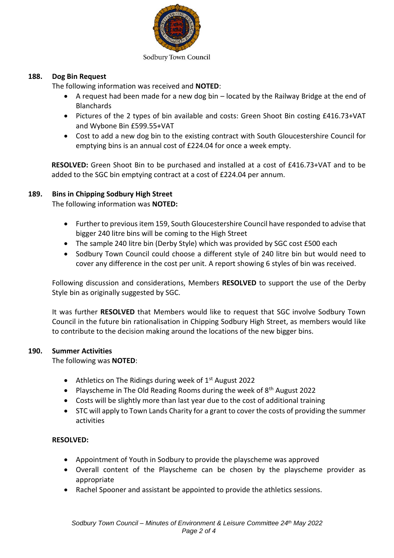

#### Sodbury Town Council

#### **188. Dog Bin Request**

The following information was received and **NOTED**:

- A request had been made for a new dog bin located by the Railway Bridge at the end of **Blanchards**
- Pictures of the 2 types of bin available and costs: Green Shoot Bin costing £416.73+VAT and Wybone Bin £599.55+VAT
- Cost to add a new dog bin to the existing contract with South Gloucestershire Council for emptying bins is an annual cost of £224.04 for once a week empty.

**RESOLVED:** Green Shoot Bin to be purchased and installed at a cost of £416.73+VAT and to be added to the SGC bin emptying contract at a cost of £224.04 per annum.

#### **189. Bins in Chipping Sodbury High Street**

The following information was **NOTED:**

- Further to previous item 159, South Gloucestershire Council have responded to advise that bigger 240 litre bins will be coming to the High Street
- The sample 240 litre bin (Derby Style) which was provided by SGC cost £500 each
- Sodbury Town Council could choose a different style of 240 litre bin but would need to cover any difference in the cost per unit. A report showing 6 styles of bin was received.

Following discussion and considerations, Members **RESOLVED** to support the use of the Derby Style bin as originally suggested by SGC.

It was further **RESOLVED** that Members would like to request that SGC involve Sodbury Town Council in the future bin rationalisation in Chipping Sodbury High Street, as members would like to contribute to the decision making around the locations of the new bigger bins.

#### **190. Summer Activities**

The following was **NOTED**:

- Athletics on The Ridings during week of  $1<sup>st</sup>$  August 2022
- Playscheme in The Old Reading Rooms during the week of  $8<sup>th</sup>$  August 2022
- Costs will be slightly more than last year due to the cost of additional training
- STC will apply to Town Lands Charity for a grant to cover the costs of providing the summer activities

#### **RESOLVED:**

- Appointment of Youth in Sodbury to provide the playscheme was approved
- Overall content of the Playscheme can be chosen by the playscheme provider as appropriate
- Rachel Spooner and assistant be appointed to provide the athletics sessions.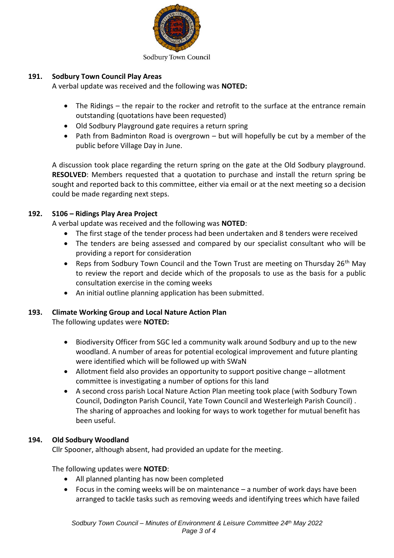

#### Sodbury Town Council

## **191. Sodbury Town Council Play Areas**

A verbal update was received and the following was **NOTED:**

- The Ridings the repair to the rocker and retrofit to the surface at the entrance remain outstanding (quotations have been requested)
- Old Sodbury Playground gate requires a return spring
- Path from Badminton Road is overgrown but will hopefully be cut by a member of the public before Village Day in June.

A discussion took place regarding the return spring on the gate at the Old Sodbury playground. **RESOLVED**: Members requested that a quotation to purchase and install the return spring be sought and reported back to this committee, either via email or at the next meeting so a decision could be made regarding next steps.

# **192. S106 – Ridings Play Area Project**

A verbal update was received and the following was **NOTED**:

- The first stage of the tender process had been undertaken and 8 tenders were received
- The tenders are being assessed and compared by our specialist consultant who will be providing a report for consideration
- Reps from Sodbury Town Council and the Town Trust are meeting on Thursday  $26<sup>th</sup>$  May to review the report and decide which of the proposals to use as the basis for a public consultation exercise in the coming weeks
- An initial outline planning application has been submitted.

# **193. Climate Working Group and Local Nature Action Plan**

The following updates were **NOTED:**

- Biodiversity Officer from SGC led a community walk around Sodbury and up to the new woodland. A number of areas for potential ecological improvement and future planting were identified which will be followed up with SWaN
- Allotment field also provides an opportunity to support positive change allotment committee is investigating a number of options for this land
- A second cross parish Local Nature Action Plan meeting took place (with Sodbury Town Council, Dodington Parish Council, Yate Town Council and Westerleigh Parish Council) . The sharing of approaches and looking for ways to work together for mutual benefit has been useful.

## **194. Old Sodbury Woodland**

Cllr Spooner, although absent, had provided an update for the meeting.

The following updates were **NOTED**:

- All planned planting has now been completed
- Focus in the coming weeks will be on maintenance a number of work days have been arranged to tackle tasks such as removing weeds and identifying trees which have failed